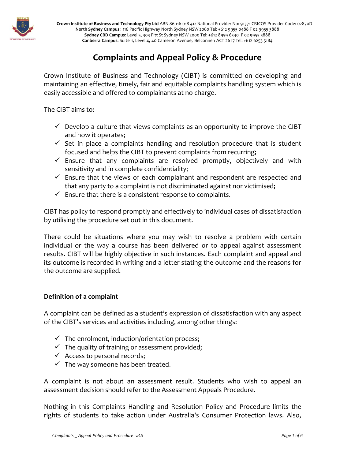

## **Complaints and Appeal Policy & Procedure**

Crown Institute of Business and Technology (CIBT) is committed on developing and maintaining an effective, timely, fair and equitable complaints handling system which is easily accessible and offered to complainants at no charge.

The CIBT aims to:

- $\checkmark$  Develop a culture that views complaints as an opportunity to improve the CIBT and how it operates;
- $\checkmark$  Set in place a complaints handling and resolution procedure that is student focused and helps the CIBT to prevent complaints from recurring;
- $\checkmark$  Ensure that any complaints are resolved promptly, objectively and with sensitivity and in complete confidentiality;
- $\checkmark$  Ensure that the views of each complainant and respondent are respected and that any party to a complaint is not discriminated against nor victimised;
- $\checkmark$  Ensure that there is a consistent response to complaints.

CIBT has policy to respond promptly and effectively to individual cases of dissatisfaction by utilising the procedure set out in this document.

There could be situations where you may wish to resolve a problem with certain individual or the way a course has been delivered or to appeal against assessment results. CIBT will be highly objective in such instances. Each complaint and appeal and its outcome is recorded in writing and a letter stating the outcome and the reasons for the outcome are supplied.

## **Definition of a complaint**

A complaint can be defined as a student's expression of dissatisfaction with any aspect of the CIBT's services and activities including, among other things:

- $\checkmark$  The enrolment, induction/orientation process;
- $\checkmark$  The quality of training or assessment provided;
- $\checkmark$  Access to personal records;
- $\checkmark$  The way someone has been treated.

A complaint is not about an assessment result. Students who wish to appeal an assessment decision should refer to the Assessment Appeals Procedure.

Nothing in this Complaints Handling and Resolution Policy and Procedure limits the rights of students to take action under Australia's Consumer Protection laws. Also,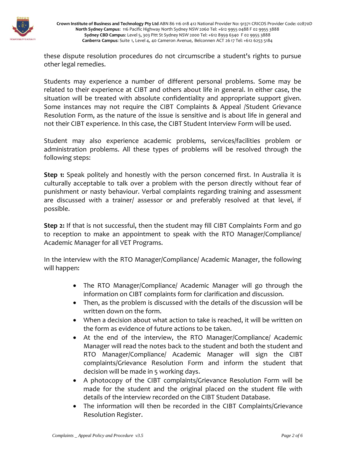

these dispute resolution procedures do not circumscribe a student's rights to pursue other legal remedies.

Students may experience a number of different personal problems. Some may be related to their experience at CIBT and others about life in general. In either case, the situation will be treated with absolute confidentiality and appropriate support given. Some instances may not require the CIBT Complaints & Appeal /Student Grievance Resolution Form, as the nature of the issue is sensitive and is about life in general and not their CIBT experience. In this case, the CIBT Student Interview Form will be used.

Student may also experience academic problems, services/facilities problem or administration problems. All these types of problems will be resolved through the following steps:

**Step 1:** Speak politely and honestly with the person concerned first. In Australia it is culturally acceptable to talk over a problem with the person directly without fear of punishment or nasty behaviour. Verbal complaints regarding training and assessment are discussed with a trainer/ assessor or and preferably resolved at that level, if possible.

**Step 2:** If that is not successful, then the student may fill CIBT Complaints Form and go to reception to make an appointment to speak with the RTO Manager/Compliance/ Academic Manager for all VET Programs.

In the interview with the RTO Manager/Compliance/ Academic Manager, the following will happen:

- The RTO Manager/Compliance/ Academic Manager will go through the information on CIBT complaints form for clarification and discussion.
- Then, as the problem is discussed with the details of the discussion will be written down on the form.
- When a decision about what action to take is reached, it will be written on the form as evidence of future actions to be taken.
- At the end of the interview, the RTO Manager/Compliance/ Academic Manager will read the notes back to the student and both the student and RTO Manager/Compliance/ Academic Manager will sign the CIBT complaints/Grievance Resolution Form and inform the student that decision will be made in 5 working days.
- A photocopy of the CIBT complaints/Grievance Resolution Form will be made for the student and the original placed on the student file with details of the interview recorded on the CIBT Student Database.
- The information will then be recorded in the CIBT Complaints/Grievance Resolution Register.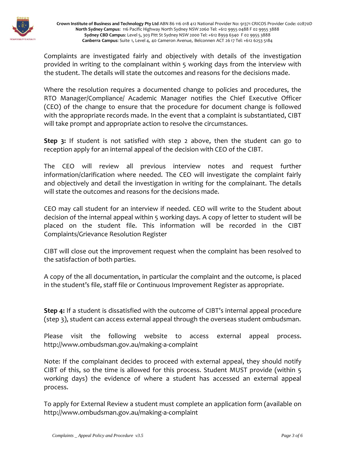

Complaints are investigated fairly and objectively with details of the investigation provided in writing to the complainant within 5 working days from the interview with the student. The details will state the outcomes and reasons for the decisions made.

Where the resolution requires a documented change to policies and procedures, the RTO Manager/Compliance/ Academic Manager notifies the Chief Executive Officer (CEO) of the change to ensure that the procedure for document change is followed with the appropriate records made. In the event that a complaint is substantiated, CIBT will take prompt and appropriate action to resolve the circumstances.

**Step 3:** If student is not satisfied with step 2 above, then the student can go to reception apply for an internal appeal of the decision with CEO of the CIBT.

The CEO will review all previous interview notes and request further information/clarification where needed. The CEO will investigate the complaint fairly and objectively and detail the investigation in writing for the complainant. The details will state the outcomes and reasons for the decisions made.

CEO may call student for an interview if needed. CEO will write to the Student about decision of the internal appeal within 5 working days. A copy of letter to student will be placed on the student file. This information will be recorded in the CIBT Complaints/Grievance Resolution Register

CIBT will close out the improvement request when the complaint has been resolved to the satisfaction of both parties.

A copy of the all documentation, in particular the complaint and the outcome, is placed in the student's file, staff file or Continuous Improvement Register as appropriate.

**Step 4:** If a student is dissatisfied with the outcome of CIBT's internal appeal procedure (step 3), student can access external appeal through the overseas student ombudsman.

Please visit the following website to access external appeal process. http://www.ombudsman.gov.au/making-a-complaint

Note: If the complainant decides to proceed with external appeal, they should notify CIBT of this, so the time is allowed for this process. Student MUST provide (within 5 working days) the evidence of where a student has accessed an external appeal process.

To apply for External Review a student must complete an [application form](http://www.acpet.edu.au/sites/default/files/documents/Student_Appeals/External_Review_Form_V3_18.01.10.doc) (available on http://www.ombudsman.gov.au/making-a-complaint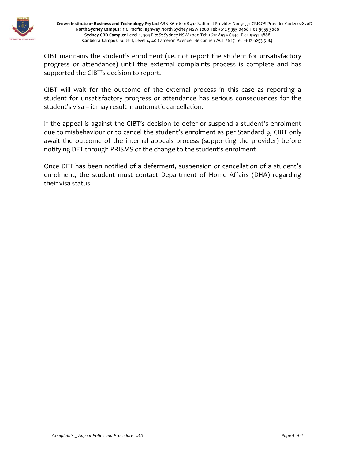

CIBT maintains the student's enrolment (i.e. not report the student for unsatisfactory progress or attendance) until the external complaints process is complete and has supported the CIBT's decision to report.

CIBT will wait for the outcome of the external process in this case as reporting a student for unsatisfactory progress or attendance has serious consequences for the student's visa – it may result in automatic cancellation.

If the appeal is against the CIBT's decision to defer or suspend a student's enrolment due to misbehaviour or to cancel the student's enrolment as per [Standard 9,](http://www.aei.gov.au/AEI/ESOS/NationalCodeExplanatoryGuide/PartD/Standard_13.htm) CIBT only await the outcome of the internal appeals process (supporting the provider) before notifying DET through PRISMS of the change to the student's enrolment.

Once DET has been notified of a deferment, suspension or cancellation of a student's enrolment, the student must contact Department of Home Affairs (DHA) regarding their visa status.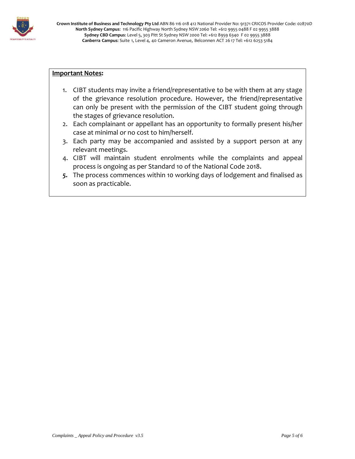

## **Important Notes:**

- 1. CIBT students may invite a friend/representative to be with them at any stage of the grievance resolution procedure. However, the friend/representative can only be present with the permission of the CIBT student going through the stages of grievance resolution.
- 2. Each complainant or appellant has an opportunity to formally present his/her case at minimal or no cost to him/herself.
- 3. Each party may be accompanied and assisted by a support person at any relevant meetings.
- 4. CIBT will maintain student enrolments while the complaints and appeal process is ongoing as per Standard 10 of the National Code 2018.
- *5.* The process commences within 10 working days of lodgement and finalised as soon as practicable.